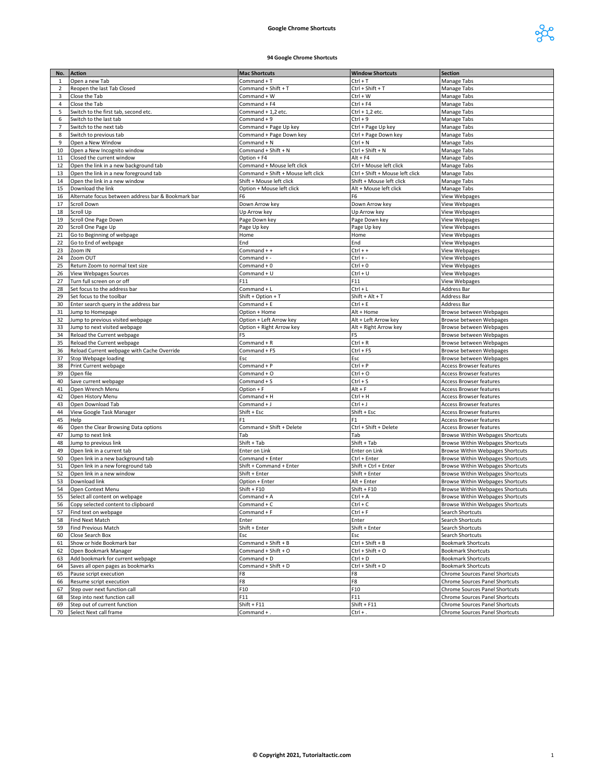## **Google Chrome Shortcuts**



## **94 Google Chrome Shortcuts**

| No.            | <b>Action</b>                                      | <b>Mac Shortcuts</b>               | <b>Window Shortcuts</b>         | <b>Section</b>                                                       |
|----------------|----------------------------------------------------|------------------------------------|---------------------------------|----------------------------------------------------------------------|
| 1              | Open a new Tab                                     | Command + T                        | Ctrl + T                        | Manage Tabs                                                          |
| $\overline{2}$ | Reopen the last Tab Closed                         | Command + Shift + T                | Ctrl + Shift + T                | Manage Tabs                                                          |
| 3              | Close the Tab                                      | Command + W                        | Ctrl + W                        | Manage Tabs                                                          |
| 4              | Close the Tab                                      | Command + F4                       | Ctrl + F4                       | Manage Tabs                                                          |
| 5              | Switch to the first tab, second etc.               | Command + 1,2 etc.                 | Ctrl + 1,2 etc.                 | Manage Tabs                                                          |
| 6              | Switch to the last tab                             | Command + $9$                      | Ctrl + 9                        | Manage Tabs                                                          |
| $\overline{7}$ | Switch to the next tab                             |                                    |                                 |                                                                      |
|                |                                                    | Command + Page Up key              | Ctrl + Page Up key              | Manage Tabs                                                          |
| 8              | Switch to previous tab                             | Command + Page Down key            | Ctrl + Page Down key            | <b>Manage Tabs</b>                                                   |
| 9              | Open a New Window                                  | Command + N                        | Ctrl + N                        | Manage Tabs                                                          |
| 10             | Open a New Incognito window                        | Command + Shift + N                | Ctrl + Shift + N                | Manage Tabs                                                          |
| 11             | Closed the current window                          | Option + F4                        | $Alt + F4$                      | Manage Tabs                                                          |
| 12             | Open the link in a new background tab              | Command + Mouse left click         | Ctrl + Mouse left click         | Manage Tabs                                                          |
| 13             | Open the link in a new foreground tab              | Command + Shift + Mouse left click | Ctrl + Shift + Mouse left click | Manage Tabs                                                          |
| 14             | Open the link in a new window                      | Shift + Mouse left click           | Shift + Mouse left click        | Manage Tabs                                                          |
| 15             | Download the link                                  | Option + Mouse left click          | Alt + Mouse left click          | Manage Tabs                                                          |
| 16             | Alternate focus between address bar & Bookmark bar | F <sub>6</sub>                     | F6                              | View Webpages                                                        |
| 17             | <b>Scroll Down</b>                                 | Down Arrow key                     | Down Arrow key                  | View Webpages                                                        |
| 18             | Scroll Up                                          | Up Arrow key                       | Up Arrow key                    | <b>View Webpages</b>                                                 |
| 19             | Scroll One Page Down                               | Page Down key                      | Page Down key                   | View Webpages                                                        |
| 20             | Scroll One Page Up                                 | Page Up key                        | Page Up key                     | View Webpages                                                        |
| 21             | Go to Beginning of webpage                         | Home                               | Home                            | View Webpages                                                        |
| 22             | Go to End of webpage                               | End                                | End                             | View Webpages                                                        |
|                |                                                    |                                    | $Ctrl + +$                      |                                                                      |
| 23             | Zoom IN                                            | Command + +                        |                                 | View Webpages                                                        |
| 24             | Zoom OUT                                           | Command + -                        | $Ctrl + -$                      | View Webpages                                                        |
| 25             | Return Zoom to normal text size                    | Command $+0$                       | $Ctrl + 0$                      | <b>View Webpages</b>                                                 |
| 26             | <b>View Webpages Sources</b>                       | Command + U                        | Ctrl + U                        | View Webpages                                                        |
| 27             | Turn full screen on or off                         | F11                                | F11                             | View Webpages                                                        |
| 28             | Set focus to the address bar                       | Command + L                        | $Ctrl + L$                      | Address Bar                                                          |
| 29             | Set focus to the toolbar                           | $Shift + Option + T$               | $Shift + Alt + T$               | Address Bar                                                          |
| 30             | Enter search query in the address bar              | Command + E                        | Ctrl + E                        | Address Bar                                                          |
| 31             | Jump to Homepage                                   | Option + Home                      | Alt + Home                      | Browse between Webpages                                              |
| 32             | Jump to previous visited webpage                   | Option + Left Arrow key            | Alt + Left Arrow key            | Browse between Webpages                                              |
| 33             | Jump to next visited webpage                       | Option + Right Arrow key           | Alt + Right Arrow key           | Browse between Webpages                                              |
| 34             | Reload the Current webpage                         | F5                                 | F5                              | Browse between Webpages                                              |
| 35             | Reload the Current webpage                         | Command + R                        | $Ctrl + R$                      | Browse between Webpages                                              |
| 36             | Reload Current webpage with Cache Override         | Command + F5                       | Ctrl + F5                       | Browse between Webpages                                              |
| 37             | Stop Webpage loading                               | Esc                                | Esc                             | Browse between Webpages                                              |
|                |                                                    |                                    |                                 |                                                                      |
| 38             | Print Current webpage                              | Command + P                        | Ctrl + P                        | <b>Access Browser features</b>                                       |
| 39             | Open file                                          | Command + O                        | $Ctrl + O$                      | Access Browser features                                              |
| 40             | Save current webpage                               | Command + S                        | $Ctrl + S$                      | Access Browser features                                              |
| 41             | Open Wrench Menu                                   | Option + F                         | $Alt + F$                       | <b>Access Browser features</b>                                       |
| 42             | Open History Menu                                  | Command + H                        | Ctrl + H                        | <b>Access Browser features</b>                                       |
| 43             | Open Download Tab                                  | Command + J                        | $Ctrl + J$                      | Access Browser features                                              |
| 44             | View Google Task Manager                           | Shift + Esc                        | Shift + Esc                     | Access Browser features                                              |
| 45             | Help                                               | F <sub>1</sub>                     | F1                              | Access Browser features                                              |
| 46             | Open the Clear Browsing Data options               | Command + Shift + Delete           | Ctrl + Shift + Delete           | <b>Access Browser features</b>                                       |
| 47             | Jump to next link                                  | Tab                                | Tab                             | Browse Within Webpages Shortcuts                                     |
| 48             | Jump to previous link                              | Shift + Tab                        | Shift + Tab                     | Browse Within Webpages Shortcuts                                     |
| 49             | Open link in a current tab                         | Enter on Link                      | Enter on Link                   | Browse Within Webpages Shortcuts                                     |
| 50             | Open link in a new background tab                  | Command + Enter                    | Ctrl + Enter                    | Browse Within Webpages Shortcuts                                     |
| 51             | Open link in a new foreground tab                  | Shift + Command + Enter            | Shift + Ctrl + Enter            | Browse Within Webpages Shortcuts                                     |
| 52             | Open link in a new window                          | Shift + Enter                      | Shift + Enter                   | Browse Within Webpages Shortcuts                                     |
| 53             | Download link                                      | Option + Enter                     | Alt + Enter                     | Browse Within Webpages Shortcuts                                     |
|                | Open Context Menu                                  | $Shift + F10$                      | $Shift + F10$                   |                                                                      |
| 54<br>55       | Select all content on webpage                      | Command + A                        | Ctrl + A                        | Browse Within Webpages Shortcuts<br>Browse Within Webpages Shortcuts |
|                |                                                    |                                    |                                 |                                                                      |
| 56             | Copy selected content to clipboard                 | Command + C                        | Ctrl + C                        | Browse Within Webpages Shortcuts                                     |
| 57             | Find text on webpage                               | $Common + F$                       | $Ctrl + F$                      | Search Shortcuts                                                     |
| 58             | Find Next Match                                    | Enter                              | Enter                           | Search Shortcuts                                                     |
| 59             | Find Previous Match                                | Shift + Enter                      | Shift + Enter                   | Search Shortcuts                                                     |
| 60             | Close Search Box                                   | Esc                                | Esc                             | Search Shortcuts                                                     |
| 61             | Show or hide Bookmark bar                          | Command + Shift + B                | Ctrl + Shift + B                | <b>Bookmark Shortcuts</b>                                            |
| 62             | Open Bookmark Manager                              | Command + Shift + O                | Ctrl + Shift + O                | <b>Bookmark Shortcuts</b>                                            |
| 63             | Add bookmark for current webpage                   | Command + D                        | Ctrl + D                        | <b>Bookmark Shortcuts</b>                                            |
| 64             | Saves all open pages as bookmarks                  | Command + Shift + D                | Ctrl + Shift + D                | <b>Bookmark Shortcuts</b>                                            |
| 65             | Pause script execution                             | F8                                 | F8                              | Chrome Sources Panel Shortcuts                                       |
| 66             | Resume script execution                            | F8                                 | F8                              | Chrome Sources Panel Shortcuts                                       |
| 67             | Step over next function call                       | F10                                | F10                             | Chrome Sources Panel Shortcuts                                       |
| 68             | Step into next function call                       | F11                                | F11                             | Chrome Sources Panel Shortcuts                                       |
| 69             | Step out of current function                       | $Shift + F11$                      | $Shift + F11$                   | Chrome Sources Panel Shortcuts                                       |
| 70             | Select Next call frame                             |                                    |                                 | Chrome Sources Panel Shortcuts                                       |
|                |                                                    | Command +                          | $Ctrl + .$                      |                                                                      |